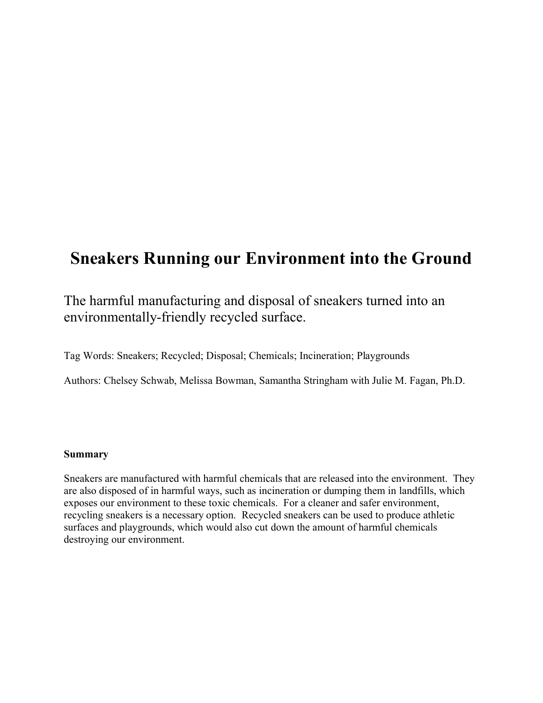# **Sneakers Running our Environment into the Ground**

The harmful manufacturing and disposal of sneakers turned into an environmentally-friendly recycled surface.

Tag Words: Sneakers; Recycled; Disposal; Chemicals; Incineration; Playgrounds

Authors: Chelsey Schwab, Melissa Bowman, Samantha Stringham with Julie M. Fagan, Ph.D.

## **Summary**

Sneakers are manufactured with harmful chemicals that are released into the environment. They are also disposed of in harmful ways, such as incineration or dumping them in landfills, which exposes our environment to these toxic chemicals. For a cleaner and safer environment, recycling sneakers is a necessary option. Recycled sneakers can be used to produce athletic surfaces and playgrounds, which would also cut down the amount of harmful chemicals destroying our environment.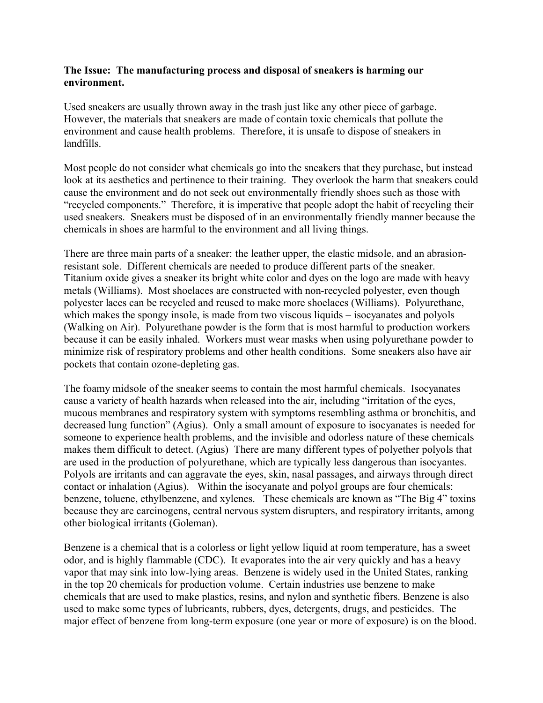## **The Issue: The manufacturing process and disposal of sneakers is harming our environment.**

Used sneakers are usually thrown away in the trash just like any other piece of garbage. However, the materials that sneakers are made of contain toxic chemicals that pollute the environment and cause health problems. Therefore, it is unsafe to dispose of sneakers in landfills.

Most people do not consider what chemicals go into the sneakers that they purchase, but instead look at its aesthetics and pertinence to their training. They overlook the harm that sneakers could cause the environment and do not seek out environmentally friendly shoes such as those with "recycled components." Therefore, it is imperative that people adopt the habit of recycling their used sneakers. Sneakers must be disposed of in an environmentally friendly manner because the chemicals in shoes are harmful to the environment and all living things.

There are three main parts of a sneaker: the leather upper, the elastic midsole, and an abrasionresistant sole. Different chemicals are needed to produce different parts of the sneaker. Titanium oxide gives a sneaker its bright white color and dyes on the logo are made with heavy metals (Williams). Most shoelaces are constructed with non-recycled polyester, even though polyester laces can be recycled and reused to make more shoelaces (Williams). Polyurethane, which makes the spongy insole, is made from two viscous liquids – isocyanates and polyols (Walking on Air). Polyurethane powder is the form that is most harmful to production workers because it can be easily inhaled. Workers must wear masks when using polyurethane powder to minimize risk of respiratory problems and other health conditions. Some sneakers also have air pockets that contain ozone-depleting gas.

The foamy midsole of the sneaker seems to contain the most harmful chemicals. Isocyanates cause a variety of health hazards when released into the air, including "irritation of the eyes, mucous membranes and respiratory system with symptoms resembling asthma or bronchitis, and decreased lung function" (Agius). Only a small amount of exposure to isocyanates is needed for someone to experience health problems, and the invisible and odorless nature of these chemicals makes them difficult to detect. (Agius) There are many different types of polyether polyols that are used in the production of polyurethane, which are typically less dangerous than isocyantes. Polyols are irritants and can aggravate the eyes, skin, nasal passages, and airways through direct contact or inhalation (Agius). Within the isocyanate and polyol groups are four chemicals: benzene, toluene, ethylbenzene, and xylenes. These chemicals are known as "The Big 4" toxins because they are carcinogens, central nervous system disrupters, and respiratory irritants, among other biological irritants (Goleman).

Benzene is a chemical that is a colorless or light yellow liquid at room temperature, has a sweet odor, and is highly flammable (CDC). It evaporates into the air very quickly and has a heavy vapor that may sink into low-lying areas. Benzene is widely used in the United States, ranking in the top 20 chemicals for production volume. Certain industries use benzene to make chemicals that are used to make plastics, resins, and nylon and synthetic fibers. Benzene is also used to make some types of lubricants, rubbers, dyes, detergents, drugs, and pesticides. The major effect of benzene from long-term exposure (one year or more of exposure) is on the blood.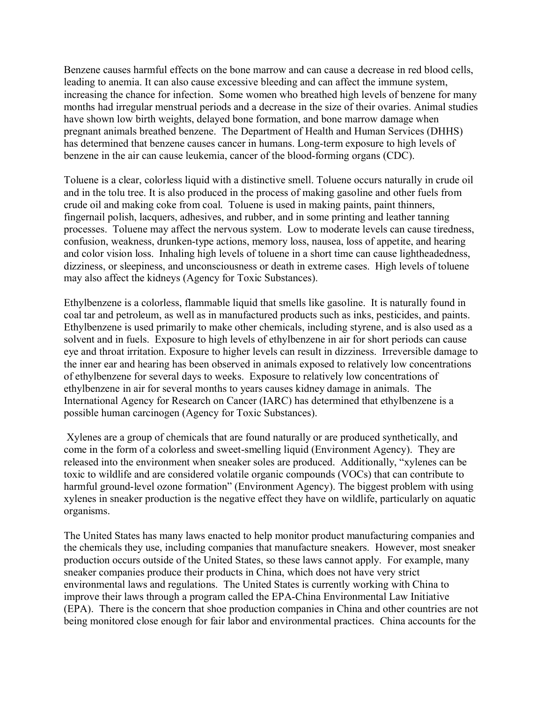Benzene causes harmful effects on the bone marrow and can cause a decrease in red blood cells, leading to anemia. It can also cause excessive bleeding and can affect the immune system, increasing the chance for infection. Some women who breathed high levels of benzene for many months had irregular menstrual periods and a decrease in the size of their ovaries. Animal studies have shown low birth weights, delayed bone formation, and bone marrow damage when pregnant animals breathed benzene. The Department of Health and Human Services (DHHS) has determined that benzene causes cancer in humans. Long-term exposure to high levels of benzene in the air can cause leukemia, cancer of the blood-forming organs (CDC).

Toluene is a clear, colorless liquid with a distinctive smell. Toluene occurs naturally in crude oil and in the tolu tree. It is also produced in the process of making gasoline and other fuels from crude oil and making coke from coal. Toluene is used in making paints, paint thinners, fingernail polish, lacquers, adhesives, and rubber, and in some printing and leather tanning processes. Toluene may affect the nervous system. Low to moderate levels can cause tiredness, confusion, weakness, drunken-type actions, memory loss, nausea, loss of appetite, and hearing and color vision loss. Inhaling high levels of toluene in a short time can cause lightheadedness, dizziness, or sleepiness, and unconsciousness or death in extreme cases. High levels of toluene may also affect the kidneys (Agency for Toxic Substances).

Ethylbenzene is a colorless, flammable liquid that smells like gasoline. It is naturally found in coal tar and petroleum, as well as in manufactured products such as inks, pesticides, and paints. Ethylbenzene is used primarily to make other chemicals, including styrene, and is also used as a solvent and in fuels. Exposure to high levels of ethylbenzene in air for short periods can cause eye and throat irritation. Exposure to higher levels can result in dizziness. Irreversible damage to the inner ear and hearing has been observed in animals exposed to relatively low concentrations of ethylbenzene for several days to weeks. Exposure to relatively low concentrations of ethylbenzene in air for several months to years causes kidney damage in animals. The International Agency for Research on Cancer (IARC) has determined that ethylbenzene is a possible human carcinogen (Agency for Toxic Substances).

Xylenes are a group of chemicals that are found naturally or are produced synthetically, and come in the form of a colorless and sweet-smelling liquid (Environment Agency). They are released into the environment when sneaker soles are produced. Additionally, "xylenes can be toxic to wildlife and are considered volatile organic compounds (VOCs) that can contribute to harmful ground-level ozone formation" (Environment Agency). The biggest problem with using xylenes in sneaker production is the negative effect they have on wildlife, particularly on aquatic organisms.

The United States has many laws enacted to help monitor product manufacturing companies and the chemicals they use, including companies that manufacture sneakers. However, most sneaker production occurs outside of the United States, so these laws cannot apply. For example, many sneaker companies produce their products in China, which does not have very strict environmental laws and regulations. The United States is currently working with China to improve their laws through a program called the EPA-China Environmental Law Initiative (EPA). There is the concern that shoe production companies in China and other countries are not being monitored close enough for fair labor and environmental practices. China accounts for the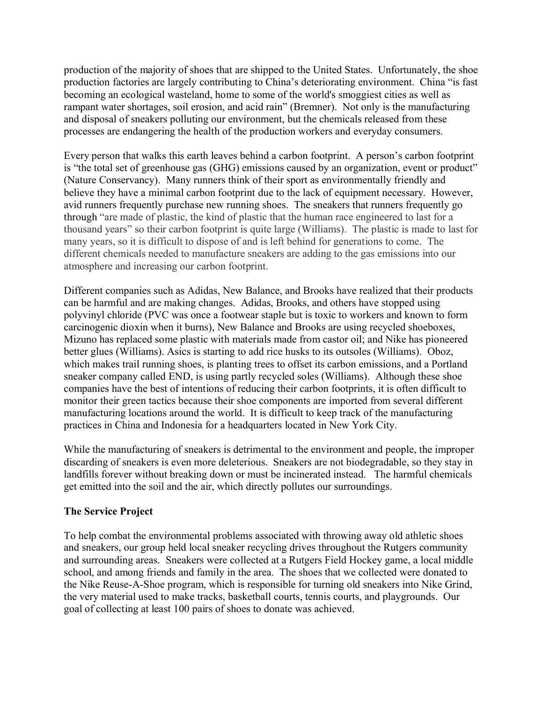production of the majority of shoes that are shipped to the United States. Unfortunately, the shoe production factories are largely contributing to China's deteriorating environment. China "is fast becoming an ecological wasteland, home to some of the world's smoggiest cities as well as rampant water shortages, soil erosion, and acid rain" (Bremner). Not only is the manufacturing and disposal of sneakers polluting our environment, but the chemicals released from these processes are endangering the health of the production workers and everyday consumers.

Every person that walks this earth leaves behind a carbon footprint. A person's carbon footprint is "the total set of [greenhouse gas](http://en.wikipedia.org/wiki/Greenhouse_gas) (GHG) emissions caused by an organization, event or product" (Nature Conservancy). Many runners think of their sport as environmentally friendly and believe they have a minimal carbon footprint due to the lack of equipment necessary. However, avid runners frequently purchase new running shoes. The sneakers that runners frequently go through "are made of plastic, the kind of plastic that the human race engineered to last for a thousand years" so their carbon footprint is quite large (Williams). The plastic is made to last for many years, so it is difficult to dispose of and is left behind for generations to come. The different chemicals needed to manufacture sneakers are adding to the gas emissions into our atmosphere and increasing our carbon footprint.

Different companies such as Adidas, New Balance, and Brooks have realized that their products can be harmful and are making changes. [Adidas,](http://www.adidas.com/us/homepage.asp) Brooks, and others have stopped using polyvinyl chloride (PVC was once a footwear staple but is toxic to workers and known to form carcinogenic dioxin when it burns), [New Balance](http://www.newbalance.com/) and Brooks are using recycled shoeboxes, Mizuno has replaced some plastic with materials made from castor oil; and Nike has pioneered better glues (Williams). Asics is starting to add rice husks to its outsoles (Williams). Oboz, which makes trail running shoes, is planting trees to offset its carbon emissions, and a Portland sneaker company called END, is using partly recycled soles (Williams). Although these shoe companies have the best of intentions of reducing their carbon footprints, it is often difficult to monitor their green tactics because their shoe components are imported from several different manufacturing locations around the world. It is difficult to keep track of the manufacturing practices in China and Indonesia for a headquarters located in New York City.

While the manufacturing of sneakers is detrimental to the environment and people, the improper discarding of sneakers is even more deleterious. Sneakers are not biodegradable, so they stay in landfills forever without breaking down or must be incinerated instead. The harmful chemicals get emitted into the soil and the air, which directly pollutes our surroundings.

# **The Service Project**

To help combat the environmental problems associated with throwing away old athletic shoes and sneakers, our group held local sneaker recycling drives throughout the Rutgers community and surrounding areas. Sneakers were collected at a Rutgers Field Hockey game, a local middle school, and among friends and family in the area. The shoes that we collected were donated to the Nike Reuse-A-Shoe program, which is responsible for turning old sneakers into Nike Grind, the very material used to make tracks, basketball courts, tennis courts, and playgrounds. Our goal of collecting at least 100 pairs of shoes to donate was achieved.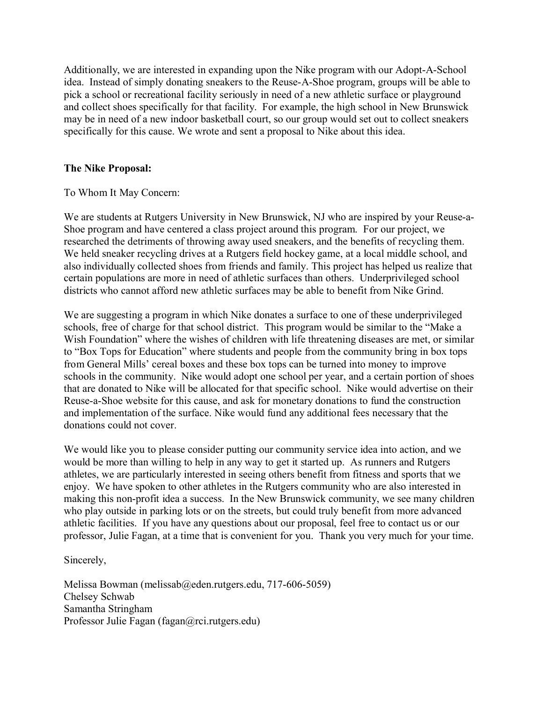Additionally, we are interested in expanding upon the Nike program with our Adopt-A-School idea. Instead of simply donating sneakers to the Reuse-A-Shoe program, groups will be able to pick a school or recreational facility seriously in need of a new athletic surface or playground and collect shoes specifically for that facility. For example, the high school in New Brunswick may be in need of a new indoor basketball court, so our group would set out to collect sneakers specifically for this cause. We wrote and sent a proposal to Nike about this idea.

## **The Nike Proposal:**

To Whom It May Concern:

We are students at Rutgers University in New Brunswick, NJ who are inspired by your Reuse-a-Shoe program and have centered a class project around this program. For our project, we researched the detriments of throwing away used sneakers, and the benefits of recycling them. We held sneaker recycling drives at a Rutgers field hockey game, at a local middle school, and also individually collected shoes from friends and family. This project has helped us realize that certain populations are more in need of athletic surfaces than others. Underprivileged school districts who cannot afford new athletic surfaces may be able to benefit from Nike Grind.

We are suggesting a program in which Nike donates a surface to one of these underprivileged schools, free of charge for that school district. This program would be similar to the "Make a Wish Foundation" where the wishes of children with life threatening diseases are met, or similar to "Box Tops for Education" where students and people from the community bring in box tops from General Mills' cereal boxes and these box tops can be turned into money to improve schools in the community. Nike would adopt one school per year, and a certain portion of shoes that are donated to Nike will be allocated for that specific school. Nike would advertise on their Reuse-a-Shoe website for this cause, and ask for monetary donations to fund the construction and implementation of the surface. Nike would fund any additional fees necessary that the donations could not cover.

We would like you to please consider putting our community service idea into action, and we would be more than willing to help in any way to get it started up. As runners and Rutgers athletes, we are particularly interested in seeing others benefit from fitness and sports that we enjoy. We have spoken to other athletes in the Rutgers community who are also interested in making this non-profit idea a success. In the New Brunswick community, we see many children who play outside in parking lots or on the streets, but could truly benefit from more advanced athletic facilities. If you have any questions about our proposal, feel free to contact us or our professor, Julie Fagan, at a time that is convenient for you. Thank you very much for your time.

Sincerely,

Melissa Bowman [\(melissab@eden.rutgers.edu,](mailto:melissab@eden.rutgers.edu) 717-606-5059) Chelsey Schwab Samantha Stringham Professor Julie Fagan [\(fagan@rci.rutgers.edu\)](mailto:fagan@rci.rutgers.edu)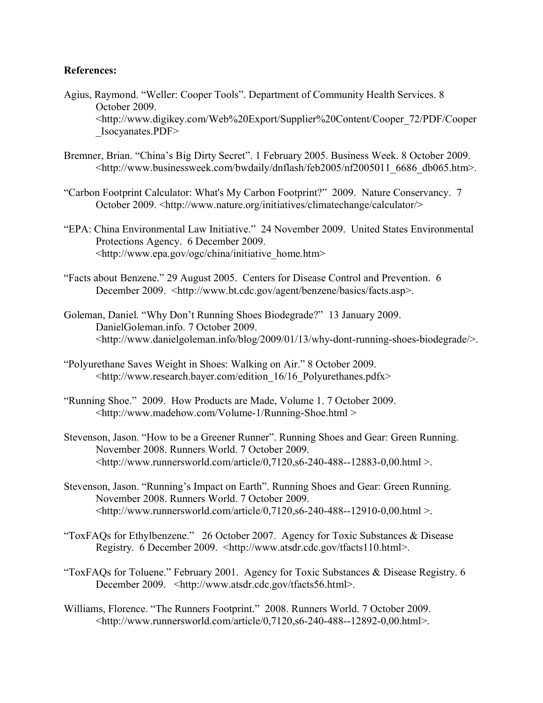### **References:**

- Agius, Raymond. "Weller: Cooper Tools". Department of Community Health Services. 8 October 2009. <http://www.digikey.com/Web%20Export/Supplier%20Content/Cooper\_72/PDF/Cooper \_Isocyanates.PDF>
- Bremner, Brian. "China's Big Dirty Secret". 1 February 2005. Business Week. 8 October 2009. [<http://www.businessweek.com/bwdaily/dnflash/feb2005/nf2005011\\_6686\\_db065.htm>](http://www.businessweek.com/bwdaily/dnflash/feb2005/nf2005011_6686_db065.htm).
- "Carbon Footprint Calculator: What's My Carbon Footprint?" 2009. Nature Conservancy. 7 October 2009. <http://www.nature.org/initiatives/climatechange/calculator/>
- "EPA: China Environmental Law Initiative." 24 November 2009. United States Environmental Protections Agency. 6 December 2009. <http://www.epa.gov/ogc/china/initiative\_home.htm>
- "Facts about Benzene." 29 August 2005. Centers for Disease Control and Prevention. 6 December 2009. <http://www.bt.cdc.gov/agent/benzene/basics/facts.asp>.
- Goleman, Daniel. "Why Don't Running Shoes Biodegrade?" 13 January 2009. DanielGoleman.info. 7 October 2009. <http://www.danielgoleman.info/blog/2009/01/13/why-dont-running-shoes-biodegrade/>.
- "Polyurethane Saves Weight in Shoes: Walking on Air." 8 October 2009. [<http://www.research.bayer.com/edition\\_16/16\\_Polyurethanes.pdfx>](http://www.research.bayer.com/edition_16/16_Polyurethanes.pdfx)
- "Running Shoe." 2009. How Products are Made, Volume 1. 7 October 2009. <http://www.madehow.com/Volume-1/Running-Shoe.html >
- Stevenson, Jason. "How to be a Greener Runner". Running Shoes and Gear: Green Running. November 2008. Runners World. 7 October 2009.  $\lt$ http://www.runnersworld.com/article/0,7120,s6-240-488--12883-0,00.html >.
- Stevenson, Jason. "Running's Impact on Earth". Running Shoes and Gear: Green Running. November 2008. Runners World. 7 October 2009.  $\lt$ http://www.runnersworld.com/article/0,7120,s6-240-488--12910-0,00.html >.
- "ToxFAQs for Ethylbenzene." 26 October 2007. Agency for Toxic Substances & Disease Registry. 6 December 2009. <http://www.atsdr.cdc.gov/tfacts110.html>.
- "ToxFAQs for Toluene." February 2001. Agency for Toxic Substances & Disease Registry. 6 December 2009. <http://www.atsdr.cdc.gov/tfacts56.html>.
- Williams, Florence. "The Runners Footprint." 2008. Runners World. 7 October 2009. <http://www.runnersworld.com/article/0,7120,s6-240-488--12892-0,00.html>.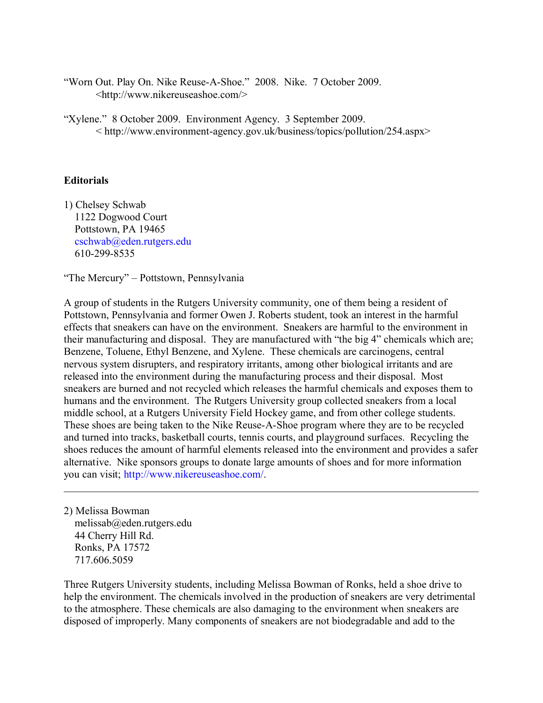"Worn Out. Play On. Nike Reuse-A-Shoe." 2008. Nike. 7 October 2009. <http://www.nikereuseashoe.com/>

"Xylene." 8 October 2009. Environment Agency. 3 September 2009. < [http://www.environment-agency.gov.uk/business/topics/pollution/254.aspx>](http://www.environment-agency.gov.uk/business/topics/pollution/254.aspx)

### **Editorials**

1) Chelsey Schwab 1122 Dogwood Court Pottstown, PA 19465 [cschwab@eden.rutgers.edu](mailto:cschwab@eden.rutgers.edu) 610-299-8535

"The Mercury" – Pottstown, Pennsylvania

A group of students in the Rutgers University community, one of them being a resident of Pottstown, Pennsylvania and former Owen J. Roberts student, took an interest in the harmful effects that sneakers can have on the environment. Sneakers are harmful to the environment in their manufacturing and disposal. They are manufactured with "the big 4" chemicals which are; Benzene, Toluene, Ethyl Benzene, and Xylene. These chemicals are carcinogens, central nervous system disrupters, and respiratory irritants, among other biological irritants and are released into the environment during the manufacturing process and their disposal. Most sneakers are burned and not recycled which releases the harmful chemicals and exposes them to humans and the environment. The Rutgers University group collected sneakers from a local middle school, at a Rutgers University Field Hockey game, and from other college students. These shoes are being taken to the Nike Reuse-A-Shoe program where they are to be recycled and turned into tracks, basketball courts, tennis courts, and playground surfaces. Recycling the shoes reduces the amount of harmful elements released into the environment and provides a safer alternative. Nike sponsors groups to donate large amounts of shoes and for more information you can visit; [http://www.nikereuseashoe.com/.](http://www.nikereuseashoe.com/)

 $\mathcal{L}_\mathcal{L} = \{ \mathcal{L}_\mathcal{L} = \{ \mathcal{L}_\mathcal{L} = \{ \mathcal{L}_\mathcal{L} = \{ \mathcal{L}_\mathcal{L} = \{ \mathcal{L}_\mathcal{L} = \{ \mathcal{L}_\mathcal{L} = \{ \mathcal{L}_\mathcal{L} = \{ \mathcal{L}_\mathcal{L} = \{ \mathcal{L}_\mathcal{L} = \{ \mathcal{L}_\mathcal{L} = \{ \mathcal{L}_\mathcal{L} = \{ \mathcal{L}_\mathcal{L} = \{ \mathcal{L}_\mathcal{L} = \{ \mathcal{L}_\mathcal{$ 

2) Melissa Bowman melissab@eden.rutgers.edu 44 Cherry Hill Rd. Ronks, PA 17572 717.606.5059

Three Rutgers University students, including Melissa Bowman of Ronks, held a shoe drive to help the environment. The chemicals involved in the production of sneakers are very detrimental to the atmosphere. These chemicals are also damaging to the environment when sneakers are disposed of improperly. Many components of sneakers are not biodegradable and add to the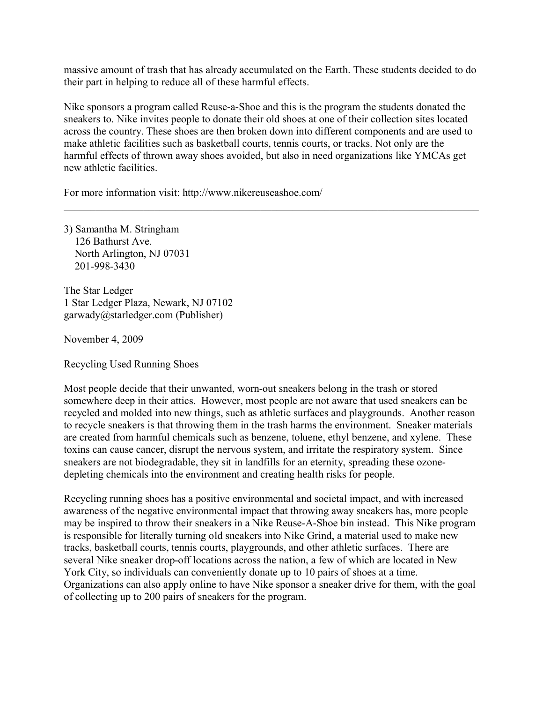massive amount of trash that has already accumulated on the Earth. These students decided to do their part in helping to reduce all of these harmful effects.

Nike sponsors a program called Reuse-a-Shoe and this is the program the students donated the sneakers to. Nike invites people to donate their old shoes at one of their collection sites located across the country. These shoes are then broken down into different components and are used to make athletic facilities such as basketball courts, tennis courts, or tracks. Not only are the harmful effects of thrown away shoes avoided, but also in need organizations like YMCAs get new athletic facilities.

 $\mathcal{L}_\mathcal{L} = \{ \mathcal{L}_\mathcal{L} = \{ \mathcal{L}_\mathcal{L} = \{ \mathcal{L}_\mathcal{L} = \{ \mathcal{L}_\mathcal{L} = \{ \mathcal{L}_\mathcal{L} = \{ \mathcal{L}_\mathcal{L} = \{ \mathcal{L}_\mathcal{L} = \{ \mathcal{L}_\mathcal{L} = \{ \mathcal{L}_\mathcal{L} = \{ \mathcal{L}_\mathcal{L} = \{ \mathcal{L}_\mathcal{L} = \{ \mathcal{L}_\mathcal{L} = \{ \mathcal{L}_\mathcal{L} = \{ \mathcal{L}_\mathcal{$ 

For more information visit: http://www.nikereuseashoe.com/

3) Samantha M. Stringham 126 Bathurst Ave. North Arlington, NJ 07031 201-998-3430

The Star Ledger 1 Star Ledger Plaza, Newark, NJ 07102 garwady@starledger.com (Publisher)

November 4, 2009

Recycling Used Running Shoes

Most people decide that their unwanted, worn-out sneakers belong in the trash or stored somewhere deep in their attics. However, most people are not aware that used sneakers can be recycled and molded into new things, such as athletic surfaces and playgrounds. Another reason to recycle sneakers is that throwing them in the trash harms the environment. Sneaker materials are created from harmful chemicals such as benzene, toluene, ethyl benzene, and xylene. These toxins can cause cancer, disrupt the nervous system, and irritate the respiratory system. Since sneakers are not biodegradable, they sit in landfills for an eternity, spreading these ozonedepleting chemicals into the environment and creating health risks for people.

Recycling running shoes has a positive environmental and societal impact, and with increased awareness of the negative environmental impact that throwing away sneakers has, more people may be inspired to throw their sneakers in a Nike Reuse-A-Shoe bin instead. This Nike program is responsible for literally turning old sneakers into Nike Grind, a material used to make new tracks, basketball courts, tennis courts, playgrounds, and other athletic surfaces. There are several Nike sneaker drop-off locations across the nation, a few of which are located in New York City, so individuals can conveniently donate up to 10 pairs of shoes at a time. Organizations can also apply online to have Nike sponsor a sneaker drive for them, with the goal of collecting up to 200 pairs of sneakers for the program.